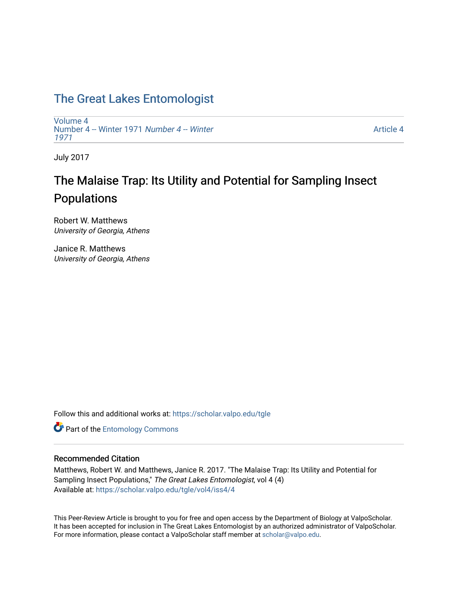## [The Great Lakes Entomologist](https://scholar.valpo.edu/tgle)

[Volume 4](https://scholar.valpo.edu/tgle/vol4) [Number 4 -- Winter 1971](https://scholar.valpo.edu/tgle/vol4/iss4) Number 4 -- Winter [1971](https://scholar.valpo.edu/tgle/vol4/iss4) 

[Article 4](https://scholar.valpo.edu/tgle/vol4/iss4/4) 

July 2017

# The Malaise Trap: Its Utility and Potential for Sampling Insect Populations

Robert W. Matthews University of Georgia, Athens

Janice R. Matthews University of Georgia, Athens

Follow this and additional works at: [https://scholar.valpo.edu/tgle](https://scholar.valpo.edu/tgle?utm_source=scholar.valpo.edu%2Ftgle%2Fvol4%2Fiss4%2F4&utm_medium=PDF&utm_campaign=PDFCoverPages) 

**Part of the Entomology Commons** 

### Recommended Citation

Matthews, Robert W. and Matthews, Janice R. 2017. "The Malaise Trap: Its Utility and Potential for Sampling Insect Populations," The Great Lakes Entomologist, vol 4 (4) Available at: [https://scholar.valpo.edu/tgle/vol4/iss4/4](https://scholar.valpo.edu/tgle/vol4/iss4/4?utm_source=scholar.valpo.edu%2Ftgle%2Fvol4%2Fiss4%2F4&utm_medium=PDF&utm_campaign=PDFCoverPages)

This Peer-Review Article is brought to you for free and open access by the Department of Biology at ValpoScholar. It has been accepted for inclusion in The Great Lakes Entomologist by an authorized administrator of ValpoScholar. For more information, please contact a ValpoScholar staff member at [scholar@valpo.edu](mailto:scholar@valpo.edu).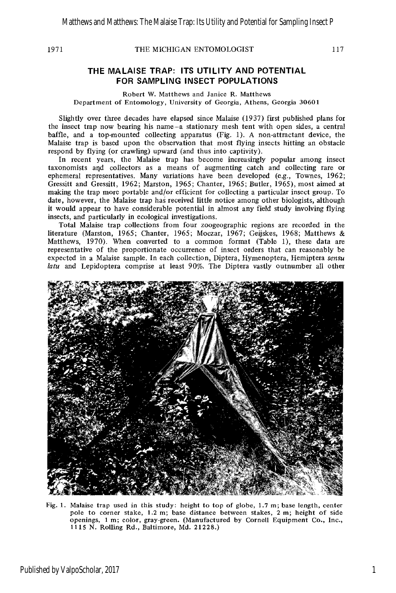#### THE MICHIGAN ENTOMOLOGIST

### **THE MALAISE TRAP: ITS UTILITY AND POTENTIAL FOR SAMPLING INSECT POPULATIONS**

Robert W. Matthews and Janice R. Matthews Department of Entomology, University of Georgia, Athens, Georgia 30601

Slightly over three decades have elapsed since Malaise (1937) first published plans for the insect trap now bearing his name-a stationary mesh tent with open sides, a central baffle, and a top-mounted collecting apparatus (Fig. 1). A non-attractant device, the Malaise trap is based upon the observation that most flying insects hitting an obstacle respond by flying (or crawling) upward (and thus into captivity).

In recent years, the Malaise trap has become increasingly popular among insect taxonomists aqd collectors as a means of augmenting catch and collecting rare or ephemeral representatives. Many variations have been developed (e.g., Townes, 1962; Gressitt and Gressitt, 1962; Marston, 1965; Chanter, 1965; Butler, 1965), most aimed at making the trap more portable and/or efficient for collecting a particular insect group. To date, however, the Malaise trap has received little notice among other biologists, although it would appear to have considerable potential in almost any field study involving flying insects, and particularly in ecological investigations.

Total Malaise trap collections from four zoogeographic regions are recorded in the literature (Marston, 1965; Chanter, 1965; Moczar, 1967; Geijskes, 1968; Matthews & Matthews, 1970). When converted to a common format (Table l), these data are representative of the proportionate occurrence of insect orders that can reasonably be expected in a Malaise sample. In each collection, Diptera, Hymenoptera, Hemiptera **sensu**  *latu* and Lepidoptera comprise at least 90%. The Diptera vastly outnumber all other



Fig. 1. Malaise trap used in this study: height to top of globe, 1.7 m; base length, center pole to corner stake, 1.2 m; base distance between stakes, 2 m; height of side openings, 1 m; color, gray-green. (Manufactured by Cornell Equipment Co., Inc., 1115 N. RolIing Rd., Baltimore, Md. 21228.)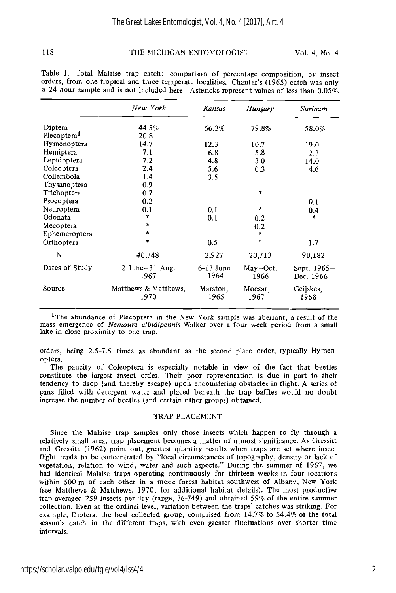118 THE MICHIGAN ENTOMOLOGIST Vol. 4, No. 4

| 119                                | THE MICHIGAN ENTOMOLOGIST                                                                                                                                                                                                                                                    |                     |                    | VOI. 4, NO. 4            |  |
|------------------------------------|------------------------------------------------------------------------------------------------------------------------------------------------------------------------------------------------------------------------------------------------------------------------------|---------------------|--------------------|--------------------------|--|
|                                    | Table 1. Total Malaise trap catch: comparison of percentage composition, by insect<br>orders, from one tropical and three temperate localities. Chanter's (1965) catch was only<br>a 24 hour sample and is not included here. Astericks represent values of less than 0.05%. |                     |                    |                          |  |
|                                    | New York                                                                                                                                                                                                                                                                     | Kansas              | Hungary            | Surinam                  |  |
| Diptera<br>Plecoptera <sup>1</sup> | 44.5%<br>20.8                                                                                                                                                                                                                                                                | 66.3%               | 79.8%              | 58.0%                    |  |
| Hymenoptera                        | 14.7                                                                                                                                                                                                                                                                         | 12.3                | 10.7               | 19.0                     |  |
| Hemiptera                          | 7.1                                                                                                                                                                                                                                                                          | 6.8                 | 5.8                | 2.3                      |  |
| Lepidoptera                        | 7.2                                                                                                                                                                                                                                                                          | 4.8                 | 3.0                | 14.0                     |  |
| Coleoptera                         | 2.4                                                                                                                                                                                                                                                                          | 5.6                 | 0.3                | 4.6                      |  |
| Collembola                         | 1.4                                                                                                                                                                                                                                                                          | 3.5                 |                    |                          |  |
| Thysanoptera                       | 0.9                                                                                                                                                                                                                                                                          |                     |                    |                          |  |
| Trichoptera                        | 0.7                                                                                                                                                                                                                                                                          |                     | $\ast$             |                          |  |
| Psocoptera                         | 0.2                                                                                                                                                                                                                                                                          |                     |                    | 0.1                      |  |
| Neuroptera                         | 0.1                                                                                                                                                                                                                                                                          | 0.1                 | $\star$            | 0.4                      |  |
| Odonata                            | *                                                                                                                                                                                                                                                                            | 0.1                 | 0.2                | $\ast$                   |  |
| Mecoptera                          | $\star$                                                                                                                                                                                                                                                                      |                     | 0.2                |                          |  |
| Ephemeroptera                      | $\pm$                                                                                                                                                                                                                                                                        |                     | *                  |                          |  |
| Orthoptera                         | $\ddot{\phantom{1}}$                                                                                                                                                                                                                                                         | 0.5                 | $\ast$             | 1.7                      |  |
| N                                  | 40,348                                                                                                                                                                                                                                                                       | 2,927               | 20,713             | 90,182                   |  |
| Dates of Study                     | $2$ June $-31$ Aug.<br>1967                                                                                                                                                                                                                                                  | $6-13$ June<br>1964 | $Mav-Oct.$<br>1966 | Sept. 1965-<br>Dec. 1966 |  |
| Source                             | Matthews & Matthews,<br>1970                                                                                                                                                                                                                                                 | Marston,<br>1965    | Moczar.<br>1967    | Geijskes,<br>1968        |  |
|                                    |                                                                                                                                                                                                                                                                              |                     |                    |                          |  |

l~he abundance of Plecoptera in the New York sample was aberrant, a result of the mass emergence of *Nemoura albidipennis* Walker over a four week period from a small lake in close proximity to one trap.

orders, being 2.5-7.5 times as abundant as the second place order, typically Hymenoptera.

The paucity of Coleoptera is especially notable in view of the fact that beetles constitute the largest insect order. Their poor representation is due in part to their tendency to drop (and thereby escape) upon encountering obstacles in flight. A series of pans filled with detergent water and placed beneath the trap baffles would no doubt increase the number of beetles (and certain other groups) obtained.

#### TRAP PLACEMENT

Since the Malaise trap samples only those insects which happen to fly through a relatively small area, trap placement becomes a matter of utmost significance. As Gressitt and Gressitt (1962) point out, greatest quantity results when traps are set where insect flight tends to be concentrated by "local circumstances of topography, density or lack of vegetation, relation to wind, water and such aspects." During the summer of 1967, we had identical Malaise traps operating continuously for thirteen weeks in four locations within 500 m of each other in a mesic forest habitat southwest of Albany, New York (see Matthews & Matthews, 1970, for additional habitat details). The most productive trap averaged 259 insects per day (range, 36-749) and obtained 59% of the entire summer collection. Even at the ordinal level, variation between the traps' catches was striking. For example, Diptera, the best collected group, comprised from 14.7% to 54.4% of the total season's catch in the different traps, with even greater fluctuations over shorter time intervals.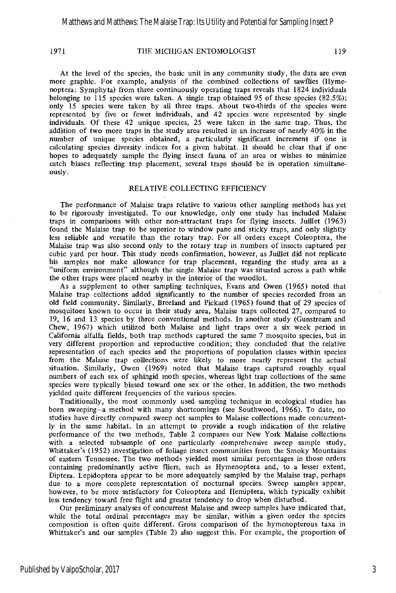#### 1971 THE MICHIGAN ENTOMOLOGIST 119

At the level of the species, the basic unit in any community study, the data are even more graphic. For example, analysis of the combined collections of sawflies (Hymenoptera: Symphyta) from three continuously operating traps reveals that 1824 individuals belonging to 115 species were taken. A single trap obtained 95 of these species (82.5%); only 15 species were taken by all three traps. About two-thuds of the species were represented by five or fewer individuals, and 42 species were represented by single individuals. Of these 42 unique species, 25 were taken in the same trap. Thus, the addition of two more traps in the study area resulted in an increase of nearly 40% in the number of unique species obtained, a particularly significant increment if one is calculating species diversity indices for a given habitat. It should be clear that if one hopes to adequately sample the flying insect fauna of an area or wishes to minimize catch biases reflecting trap placement, several traps should be in operation simultaneously.

#### RELATIVE COLLECTING EFFICIENCY

The performance of Malaise traps relative to various other sampling methods has yet to be rigorously investigated. To our knowledge, only one study has included Malaise traps in comparisons with other non-attractant traps for flying insects. Juillet (1963) found the Malaise trap to be superior to window pane and sticky traps, and only slightly less reliable and versatile than the rotary trap. For all orders except Coleoptera, the Malaise trap was also second only to the rotary trap in numbers of insects captured per cubic yard per hour. This study needs confirmation, however, as Juillet did not replicate his samples nor make allowance for trap placement, regarding the study area as a "uniform environment" although the single Malaise trap was situated across a path while the other traps were placed nearby in the interior of the woodlot.

As a supplement to other sampling techniques, Evans and Owen (1965) noted that Malaise trap collections added significantly to the number of species recorded from an old field community. Similarly, Breeland and Pickard (1965) found that of 29 species of mosquitoes known to occur in their study area, Malaise traps collected 27, compared to 19, 16 and 13 species by three conventional methods. In another study (Gunstream and Chew, 1967) which utilized both Malaise and light traps over a six week period in California alfalfa fields, both trap methods captured the same 7 mosquito species, but in very different proportion and reproductive condition; they concluded that the relative representation of each species and the proportions of population classes within species from the Malaise trap collections were likely to more nearly represent the actual situation. Similarly, Owen (1969) noted that Malaise traps captured roughly equal numbers of each sex of sphingid moth species, whereas light trap collections of the same species were typically biased toward one sex or the other. In addition, the two methods yielded quite different frequencies of the various species.

Traditionally, the most commonly used sampling technique in ecological studies has been sweeping-a method with many shortcomings (see Southwood, 1966). To date, no studies have directly compared sweep net samples to Malaise collections made concurrently in the same habitat. In an attempt to provide a rough indication of the relative performance of the two methods, Table 2 compares our New York Malaise collections with a selected subsample of one particularly comprehensive sweep sample study, Whittaker's (1952) investigation of foliage insect communities from the Smoky Mountains of eastern Tennessee. The two methods yielded most similar percentages in those orders containing predominantly active fliers, such as Hymenoptera and, to a lesser extent, Diptera. Lepidoptera appear to be more adequately sampled by the Malaise trap, perhaps due to a more complete representation of nocturnal species. Sweep samples appear, however, to be more satisfactory for Coleoptera and Hemiptera, which typically exhibit less tendency toward free flight and greater tendency to drop when disturbed.

Our preliminary analyses of concurrent Malaise and sweep samples have indicated that, while the total ordinal percentages may be similar, within a given order the species composition is often quite different. Gross comparison of the hymenopterous taxa in Whittaker's and our samples (Table 2) also suggest this. For example, the proportion of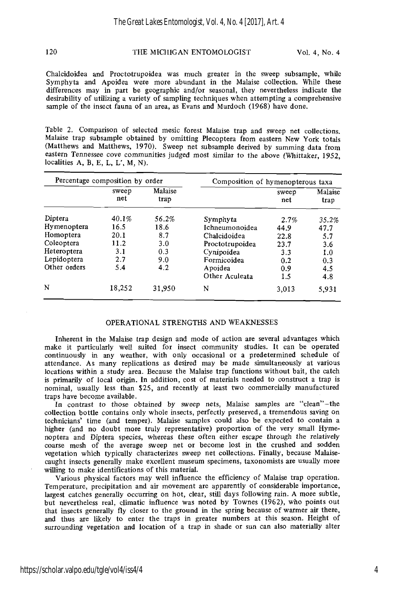#### 120 THE MICHIGAN ENTOMOLOGIST Vol. 4, No. 4

Chalcidoidea and Proctotrupoidea was much greater in the sweep subsample, while Symphyta and Apoidea were more abundant in the Malaise collection. While these differences may in part be geographic and/or seasonal, they nevertheless indicate the desirability of utilizing a variety of sampling techniques when attempting a comprehensive sample of the insect fauna of an area, as Evans and Murdoch (1968) have done.

Table 2. Comparison of selected mesic forest Malaise trap and sweep net collections. Malaise trap subsample obtained by omitting Plecoptera from eastern New York totals (Matthews and Matthews, 1970). Sweep net subsample derived by summing data from eastern Tennessee cove communities judged most similar to the above (Whittaker, 1952, localities A, B, E, L, L', M, N).

| Percentage composition by order |              |                 | Composition of hymenopterous taxa |              |                 |  |
|---------------------------------|--------------|-----------------|-----------------------------------|--------------|-----------------|--|
|                                 | sweep<br>net | Malaise<br>trap |                                   | sweep<br>net | Malaise<br>trap |  |
| Diptera                         | 40.1%        | 56.2%           | Symphyta                          | 2.7%         | 35.2%           |  |
| Hymenoptera                     | 16.5         | 18.6            | Ichneumonoidea                    | 44.9         | 47.7            |  |
| Homoptera                       | 20.1         | 8.7             | Chalcidoidea                      | 22.8         | 5.7             |  |
| Coleoptera                      | 11.2         | 3.0             | Proctotrupoidea                   | 23.7         | 3.6             |  |
| Heteroptera                     | 3.1          | 0.3             | Cynipoidea                        | 3.3          | 1.0             |  |
| Lepidoptera                     | 2.7          | 9.0             | Formicoidea                       | 0.2          | 0.3             |  |
| Other orders                    | 5.4          | 4.2             | Apoidea                           | 0.9          | 4.5             |  |
|                                 |              |                 | Other Aculeata                    | 1.5          | 4.8             |  |
| N                               | 18,252       | 31,950          | N                                 | 3,013        | 5,931           |  |

#### OPERATIONAL STRENGTHS AND WEAKNESSES

Inherent in the Malaise trap design and mode of action are several advantages which make it particularly well suited for insect community studies. It can be operated continuously in any weather, with only occasional or a predetermined schedule of attendance. As many replications as desired may be made simultaneously at various locations within a study area. Because the Malaise trap functions without bait, the catch is primarily of local origin. In addition, cost of materials needed to construct a trap is nominal, usually less than \$25, and recently at least two commercially manufactured traps have become available.

In contrast to those obtained by sweep nets, Malaise samples are "clean"-the collection bottle contains only whole insects, perfectly preserved, a tremendous saving on technicians' time (and temper). Malaise samples could also be expected to contain a higher (and no doubt more truly representative) proportion of the very small Hymenoptera and Diptera species, whereas these often either escape through the relatively coarse mesh of the average sweep net or become lost in the crushed and sodden vegetation which typically characterizes sweep net collections. Finally, because Malaisecaught insects generally make excellent museum specimens, taxonomists are usually more willing to make identifications of this material.

Various physical factors may well influence the efficiency of Malaise trap operation. Temperature, precipitation and air movement are apparently of considerable importance, largest catches generally occurring on hot, clear, still days following rain. A more subtle, but nevertheless real, climatic influence was noted by Townes (1962), who points out that insects generally fly closer to the ground in the spring because of warmer air there, and thus are likely to enter the traps in greater numbers at this season. Height of surrounding vegetation and location of a trap in shade or sun can also materially alter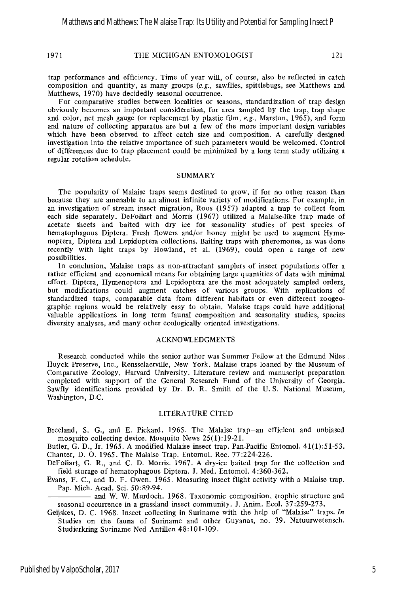#### 1971 THE MICHIGAN ENTOMOLOGIST 121

trap performance and efficiency. Time of year will, of course, also be reflected in catch composition and quantity, as many groups (e.g., sawflies, spittlebugs, see Matthews and Matthews, 1970) have decidedly seasonal occurrence.

For comparative studies between localities or seasons, standardization of trap design obviously becomes an important consideration, for area sampled by the trap, trap shape and color, net mesh gauge (or replacement by plastic film,  $e.g.,$  Marston, 1965), and form and nature of collecting apparatus are but a few of the more important design variables which have been observed to affect catch size and composition. A carefully designed investigation into the relative importance of such parameters would be welcomed. Control of differences due to trap placement could be minimized by a long term study utilizing a regular rotation schedule.

#### SUMMARY

The popularity of Malaise traps seems destined to grow, if for no other reason than because they are amenable to an almost infinite variety of modifications. For example, in an investigation of stream insect migration, Roos (1957) adapted a trap to collect from each side separately. DeFoliart and Morris (1967) utilized a Malaise-like trap made of acetate sheets and baited with dry ice for seasonality studies of pest species of hematophagous Diptera. Fresh flowers and/or honey might be used to augment Hymenoptera, Diptera and Lepidoptera collections. Baiting traps with pheromones, as was done recently with light traps by Howland, et al. (1969), could open a range of new possibilities.

In conclusion, Malaise traps as non-attractant samplers of insect populations offer a rather efficient and economical means for obtaining large quantities of data with minimal effort. Diptera, Hymenoptera and Lepidoptera are the most adequately sampled orders, but modifications could augment catches of various groups. With replications of standardized traps, comparable data from different habitats or even different zoogeographic regions would be relatively easy to obtain. Malaise traps could have additional valuable applications in long term faunal composition and seasonality studies, species diversity analyses, and many other ecologically oriented investigations.

#### ACKNOWLEDGMENTS

Research conducted while the senior author was Summer Fellow at the Edmund Niles Huyck Preserve, Inc., Rensselaerville, New York. Malaise traps loaned by the Museum of Comparative Zoology, Harvard University. Literature review and manuscript preparation completed with support of the General Research Fund of the University of Georgia. Sawfly identifications provided by Dr. D. R. Smith of the U. S. National Museum, Washington, D.C.

#### LITERATURE CITED

Breeland, S. G., and E. Pickard. 1965. The Malaise trap-an efficient and unbiased mosquito collecting device. Mosquito News 25(1):19-21.

Butler, G. D., Jr. 1965. **A** modified Malaise insect trap. Pan-Pacific Entomol. 41(1):51-53. Chanter, D. 0. 1965. The Malaise Trap. Entomol. Rec. 77:224-226.

DeFoliart, G. R., and C. D. Morris. 1967. A dry-ice baited trap for the collection and field storage of hematophagous Diptera. J. Med. Entomol. 4:360-362.

Evans, F. C., and D. F. Owen. 1965. Measuring insect flight activity with a Malaise trap. Pap. Mich. Acad. Sci. 50:89-94.

and W. W. Murdoch. 1968. Taxonomic composition, trophic structure and seasonal occurrence in a grassland insect community. J. Anim. Ecol. 37:259-273.

Geijskes, D. C. 1968. Insect collecting in Suriname with the help of "Malaise" traps. In Studies on the fauna of Suriname and other Guyanas, no. 39. Natuunvetensch. Studierkring Suriname Ned Antillen 48:lOl-109.